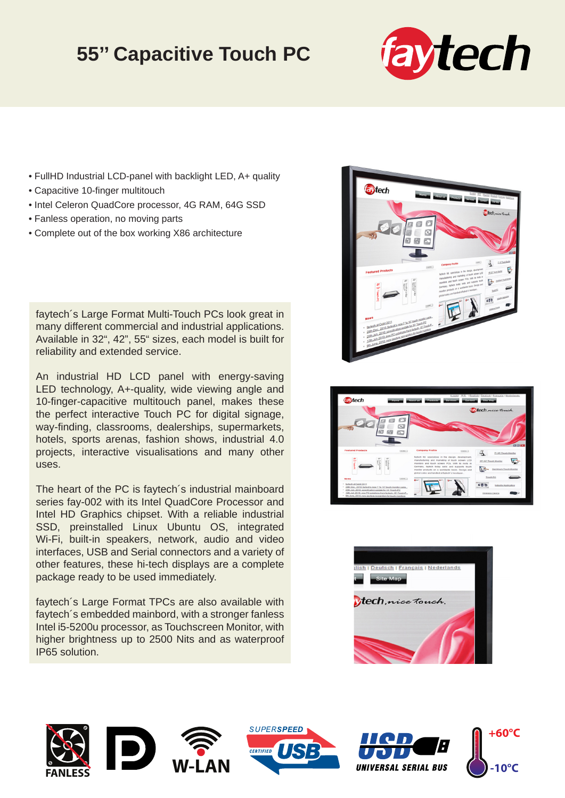## **55'' Capacitive Touch PC**



- FullHD Industrial LCD-panel with backlight LED, A+ quality
- Capacitive 10-finger multitouch
- Intel Celeron QuadCore processor, 4G RAM, 64G SSD
- Fanless operation, no moving parts
- Complete out of the box working X86 architecture

faytech´s Large Format Multi-Touch PCs look great in many different commercial and industrial applications. Available in 32", 42", 55" sizes, each model is built for reliability and extended service.

An industrial HD LCD panel with energy-saving LED technology, A+-quality, wide viewing angle and 10-finger-capacitive multitouch panel, makes these the perfect interactive Touch PC for digital signage, way-finding, classrooms, dealerships, supermarkets, hotels, sports arenas, fashion shows, industrial 4.0 projects, interactive visualisations and many other uses.

The heart of the PC is faytech´s industrial mainboard series fay-002 with its Intel QuadCore Processor and Intel HD Graphics chipset. With a reliable industrial SSD, preinstalled Linux Ubuntu OS, integrated Wi-Fi, built-in speakers, network, audio and video interfaces, USB and Serial connectors and a variety of other features, these hi-tech displays are a complete package ready to be used immediately.

faytech´s Large Format TPCs are also available with faytech´s embedded mainbord, with a stronger fanless Intel i5-5200u processor, as Touchscreen Monitor, with higher brightness up to 2500 Nits and as waterproof IP65 solution.